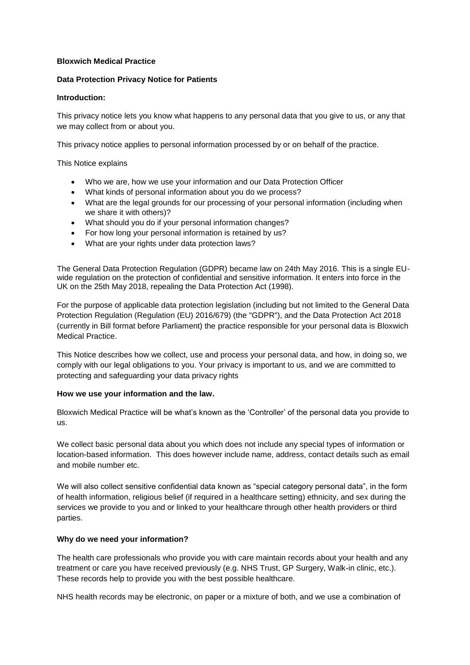# **Bloxwich Medical Practice**

### **Data Protection Privacy Notice for Patients**

#### **Introduction:**

This privacy notice lets you know what happens to any personal data that you give to us, or any that we may collect from or about you.

This privacy notice applies to personal information processed by or on behalf of the practice.

This Notice explains

- Who we are, how we use your information and our Data Protection Officer
- What kinds of personal information about you do we process?
- What are the legal grounds for our processing of your personal information (including when we share it with others)?
- What should you do if your personal information changes?
- For how long your personal information is retained by us?
- What are your rights under data protection laws?

The General Data Protection Regulation (GDPR) became law on 24th May 2016. This is a single EUwide regulation on the protection of confidential and sensitive information. It enters into force in the UK on the 25th May 2018, repealing the Data Protection Act (1998).

For the purpose of applicable data protection legislation (including but not limited to the General Data Protection Regulation (Regulation (EU) 2016/679) (the "GDPR"), and the Data Protection Act 2018 (currently in Bill format before Parliament) the practice responsible for your personal data is Bloxwich Medical Practice.

This Notice describes how we collect, use and process your personal data, and how, in doing so, we comply with our legal obligations to you. Your privacy is important to us, and we are committed to protecting and safeguarding your data privacy rights

#### **How we use your information and the law.**

Bloxwich Medical Practice will be what's known as the 'Controller' of the personal data you provide to us.

We collect basic personal data about you which does not include any special types of information or location-based information. This does however include name, address, contact details such as email and mobile number etc.

We will also collect sensitive confidential data known as "special category personal data", in the form of health information, religious belief (if required in a healthcare setting) ethnicity, and sex during the services we provide to you and or linked to your healthcare through other health providers or third parties.

# **Why do we need your information?**

The health care professionals who provide you with care maintain records about your health and any treatment or care you have received previously (e.g. NHS Trust, GP Surgery, Walk-in clinic, etc.). These records help to provide you with the best possible healthcare.

NHS health records may be electronic, on paper or a mixture of both, and we use a combination of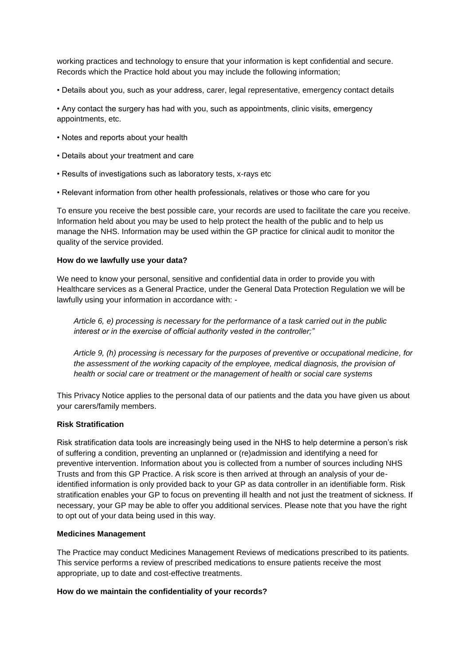working practices and technology to ensure that your information is kept confidential and secure. Records which the Practice hold about you may include the following information;

• Details about you, such as your address, carer, legal representative, emergency contact details

• Any contact the surgery has had with you, such as appointments, clinic visits, emergency appointments, etc.

- Notes and reports about your health
- Details about your treatment and care
- Results of investigations such as laboratory tests, x-rays etc
- Relevant information from other health professionals, relatives or those who care for you

To ensure you receive the best possible care, your records are used to facilitate the care you receive. Information held about you may be used to help protect the health of the public and to help us manage the NHS. Information may be used within the GP practice for clinical audit to monitor the quality of the service provided.

### **How do we lawfully use your data?**

We need to know your personal, sensitive and confidential data in order to provide you with Healthcare services as a General Practice, under the General Data Protection Regulation we will be lawfully using your information in accordance with: -

*Article 6, e) processing is necessary for the performance of a task carried out in the public interest or in the exercise of official authority vested in the controller;"* 

*Article 9, (h) processing is necessary for the purposes of preventive or occupational medicine, for the assessment of the working capacity of the employee, medical diagnosis, the provision of health or social care or treatment or the management of health or social care systems* 

This Privacy Notice applies to the personal data of our patients and the data you have given us about your carers/family members.

#### **Risk Stratification**

Risk stratification data tools are increasingly being used in the NHS to help determine a person's risk of suffering a condition, preventing an unplanned or (re)admission and identifying a need for preventive intervention. Information about you is collected from a number of sources including NHS Trusts and from this GP Practice. A risk score is then arrived at through an analysis of your deidentified information is only provided back to your GP as data controller in an identifiable form. Risk stratification enables your GP to focus on preventing ill health and not just the treatment of sickness. If necessary, your GP may be able to offer you additional services. Please note that you have the right to opt out of your data being used in this way.

#### **Medicines Management**

The Practice may conduct Medicines Management Reviews of medications prescribed to its patients. This service performs a review of prescribed medications to ensure patients receive the most appropriate, up to date and cost-effective treatments.

# **How do we maintain the confidentiality of your records?**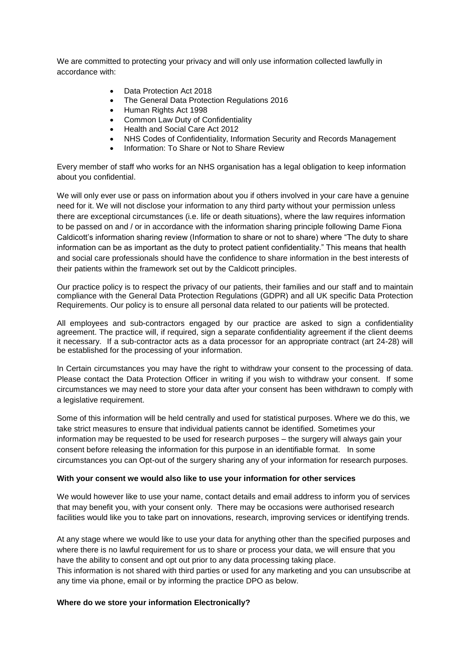We are committed to protecting your privacy and will only use information collected lawfully in accordance with:

- Data Protection Act 2018
- The General Data Protection Regulations 2016
- Human Rights Act 1998
- Common Law Duty of Confidentiality
- Health and Social Care Act 2012
- NHS Codes of Confidentiality, Information Security and Records Management
- Information: To Share or Not to Share Review

Every member of staff who works for an NHS organisation has a legal obligation to keep information about you confidential.

We will only ever use or pass on information about you if others involved in your care have a genuine need for it. We will not disclose your information to any third party without your permission unless there are exceptional circumstances (i.e. life or death situations), where the law requires information to be passed on and / or in accordance with the information sharing principle following Dame Fiona Caldicott's information sharing review (Information to share or not to share) where "The duty to share information can be as important as the duty to protect patient confidentiality." This means that health and social care professionals should have the confidence to share information in the best interests of their patients within the framework set out by the Caldicott principles.

Our practice policy is to respect the privacy of our patients, their families and our staff and to maintain compliance with the General Data Protection Regulations (GDPR) and all UK specific Data Protection Requirements. Our policy is to ensure all personal data related to our patients will be protected.

All employees and sub-contractors engaged by our practice are asked to sign a confidentiality agreement. The practice will, if required, sign a separate confidentiality agreement if the client deems it necessary. If a sub-contractor acts as a data processor for an appropriate contract (art 24-28) will be established for the processing of your information.

In Certain circumstances you may have the right to withdraw your consent to the processing of data. Please contact the Data Protection Officer in writing if you wish to withdraw your consent. If some circumstances we may need to store your data after your consent has been withdrawn to comply with a legislative requirement.

Some of this information will be held centrally and used for statistical purposes. Where we do this, we take strict measures to ensure that individual patients cannot be identified. Sometimes your information may be requested to be used for research purposes – the surgery will always gain your consent before releasing the information for this purpose in an identifiable format. In some circumstances you can Opt-out of the surgery sharing any of your information for research purposes.

#### **With your consent we would also like to use your information for other services**

We would however like to use your name, contact details and email address to inform you of services that may benefit you, with your consent only. There may be occasions were authorised research facilities would like you to take part on innovations, research, improving services or identifying trends.

At any stage where we would like to use your data for anything other than the specified purposes and where there is no lawful requirement for us to share or process your data, we will ensure that you have the ability to consent and opt out prior to any data processing taking place.

This information is not shared with third parties or used for any marketing and you can unsubscribe at any time via phone, email or by informing the practice DPO as below.

#### **Where do we store your information Electronically?**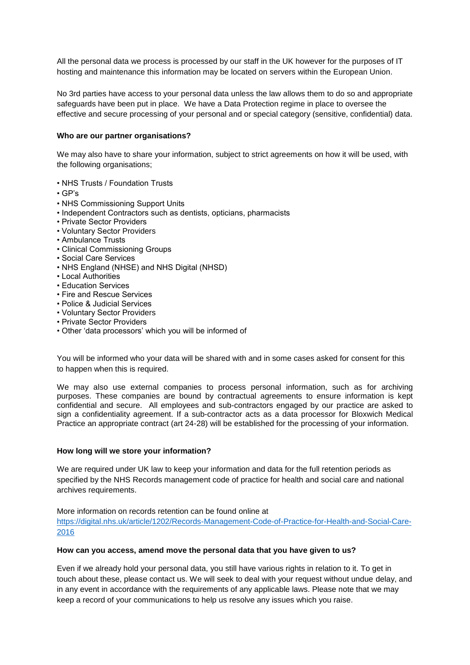All the personal data we process is processed by our staff in the UK however for the purposes of IT hosting and maintenance this information may be located on servers within the European Union.

No 3rd parties have access to your personal data unless the law allows them to do so and appropriate safeguards have been put in place. We have a Data Protection regime in place to oversee the effective and secure processing of your personal and or special category (sensitive, confidential) data.

### **Who are our partner organisations?**

We may also have to share your information, subject to strict agreements on how it will be used, with the following organisations;

- NHS Trusts / Foundation Trusts
- GP's
- NHS Commissioning Support Units
- Independent Contractors such as dentists, opticians, pharmacists
- Private Sector Providers
- Voluntary Sector Providers
- Ambulance Trusts
- Clinical Commissioning Groups
- Social Care Services
- NHS England (NHSE) and NHS Digital (NHSD)
- Local Authorities
- Education Services
- Fire and Rescue Services
- Police & Judicial Services
- Voluntary Sector Providers
- Private Sector Providers
- Other 'data processors' which you will be informed of

You will be informed who your data will be shared with and in some cases asked for consent for this to happen when this is required.

We may also use external companies to process personal information, such as for archiving purposes. These companies are bound by contractual agreements to ensure information is kept confidential and secure. All employees and sub-contractors engaged by our practice are asked to sign a confidentiality agreement. If a sub-contractor acts as a data processor for Bloxwich Medical Practice an appropriate contract (art 24-28) will be established for the processing of your information.

# **How long will we store your information?**

We are required under UK law to keep your information and data for the full retention periods as specified by the NHS Records management code of practice for health and social care and national archives requirements.

More information on records retention can be found online at [https://digital.nhs.uk/article/1202/Records-Management-Code-of-Practice-for-Health-and-Social-Care-](https://digital.nhs.uk/article/1202/Records-Management-Code-of-Practice-for-Health-and-Social-Care-2016)[2016](https://digital.nhs.uk/article/1202/Records-Management-Code-of-Practice-for-Health-and-Social-Care-2016)

#### **How can you access, amend move the personal data that you have given to us?**

Even if we already hold your personal data, you still have various rights in relation to it. To get in touch about these, please contact us. We will seek to deal with your request without undue delay, and in any event in accordance with the requirements of any applicable laws. Please note that we may keep a record of your communications to help us resolve any issues which you raise.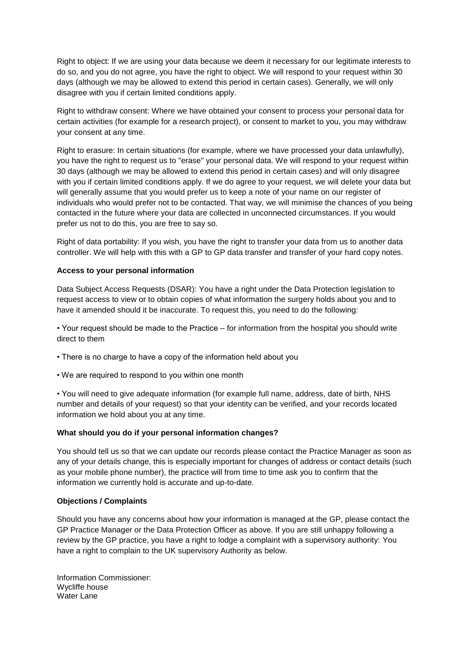Right to object: If we are using your data because we deem it necessary for our legitimate interests to do so, and you do not agree, you have the right to object. We will respond to your request within 30 days (although we may be allowed to extend this period in certain cases). Generally, we will only disagree with you if certain limited conditions apply.

Right to withdraw consent: Where we have obtained your consent to process your personal data for certain activities (for example for a research project), or consent to market to you, you may withdraw your consent at any time.

Right to erasure: In certain situations (for example, where we have processed your data unlawfully), you have the right to request us to "erase" your personal data. We will respond to your request within 30 days (although we may be allowed to extend this period in certain cases) and will only disagree with you if certain limited conditions apply. If we do agree to your request, we will delete your data but will generally assume that you would prefer us to keep a note of your name on our register of individuals who would prefer not to be contacted. That way, we will minimise the chances of you being contacted in the future where your data are collected in unconnected circumstances. If you would prefer us not to do this, you are free to say so.

Right of data portability: If you wish, you have the right to transfer your data from us to another data controller. We will help with this with a GP to GP data transfer and transfer of your hard copy notes.

### **Access to your personal information**

Data Subject Access Requests (DSAR): You have a right under the Data Protection legislation to request access to view or to obtain copies of what information the surgery holds about you and to have it amended should it be inaccurate. To request this, you need to do the following:

• Your request should be made to the Practice – for information from the hospital you should write direct to them

- There is no charge to have a copy of the information held about you
- We are required to respond to you within one month

• You will need to give adequate information (for example full name, address, date of birth, NHS number and details of your request) so that your identity can be verified, and your records located information we hold about you at any time.

# **What should you do if your personal information changes?**

You should tell us so that we can update our records please contact the Practice Manager as soon as any of your details change, this is especially important for changes of address or contact details (such as your mobile phone number), the practice will from time to time ask you to confirm that the information we currently hold is accurate and up-to-date.

#### **Objections / Complaints**

Should you have any concerns about how your information is managed at the GP, please contact the GP Practice Manager or the Data Protection Officer as above. If you are still unhappy following a review by the GP practice, you have a right to lodge a complaint with a supervisory authority: You have a right to complain to the UK supervisory Authority as below.

Information Commissioner: Wycliffe house Water Lane